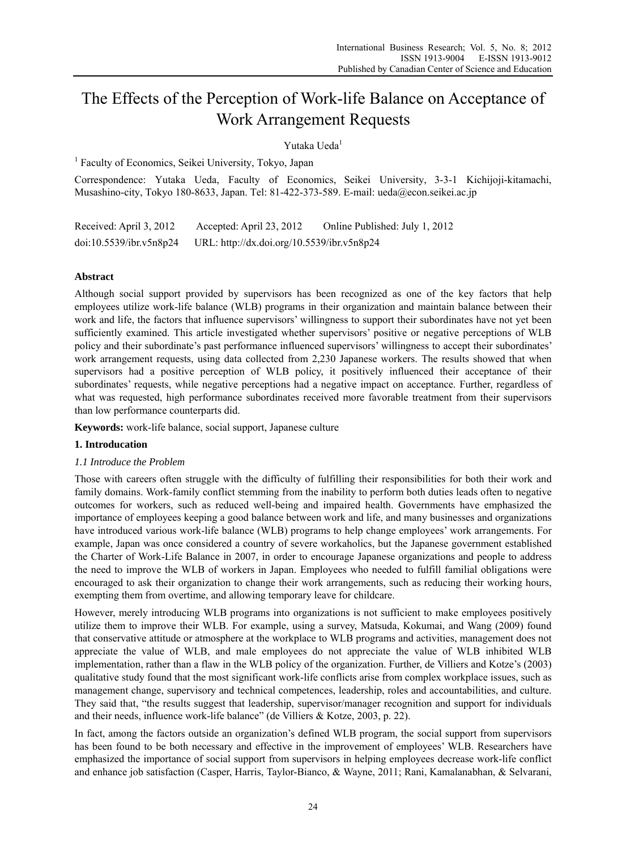# The Effects of the Perception of Work-life Balance on Acceptance of Work Arrangement Requests

# Yutaka Ueda1

<sup>1</sup> Faculty of Economics, Seikei University, Tokyo, Japan

Correspondence: Yutaka Ueda, Faculty of Economics, Seikei University, 3-3-1 Kichijoji-kitamachi, Musashino-city, Tokyo 180-8633, Japan. Tel: 81-422-373-589. E-mail: ueda@econ.seikei.ac.jp

Received: April 3, 2012 Accepted: April 23, 2012 Online Published: July 1, 2012 doi:10.5539/ibr.v5n8p24 URL: http://dx.doi.org/10.5539/ibr.v5n8p24

### **Abstract**

Although social support provided by supervisors has been recognized as one of the key factors that help employees utilize work-life balance (WLB) programs in their organization and maintain balance between their work and life, the factors that influence supervisors' willingness to support their subordinates have not yet been sufficiently examined. This article investigated whether supervisors' positive or negative perceptions of WLB policy and their subordinate's past performance influenced supervisors' willingness to accept their subordinates' work arrangement requests, using data collected from 2,230 Japanese workers. The results showed that when supervisors had a positive perception of WLB policy, it positively influenced their acceptance of their subordinates' requests, while negative perceptions had a negative impact on acceptance. Further, regardless of what was requested, high performance subordinates received more favorable treatment from their supervisors than low performance counterparts did.

**Keywords:** work-life balance, social support, Japanese culture

### **1. Introducation**

### *1.1 Introduce the Problem*

Those with careers often struggle with the difficulty of fulfilling their responsibilities for both their work and family domains. Work-family conflict stemming from the inability to perform both duties leads often to negative outcomes for workers, such as reduced well-being and impaired health. Governments have emphasized the importance of employees keeping a good balance between work and life, and many businesses and organizations have introduced various work-life balance (WLB) programs to help change employees' work arrangements. For example, Japan was once considered a country of severe workaholics, but the Japanese government established the Charter of Work-Life Balance in 2007, in order to encourage Japanese organizations and people to address the need to improve the WLB of workers in Japan. Employees who needed to fulfill familial obligations were encouraged to ask their organization to change their work arrangements, such as reducing their working hours, exempting them from overtime, and allowing temporary leave for childcare.

However, merely introducing WLB programs into organizations is not sufficient to make employees positively utilize them to improve their WLB. For example, using a survey, Matsuda, Kokumai, and Wang (2009) found that conservative attitude or atmosphere at the workplace to WLB programs and activities, management does not appreciate the value of WLB, and male employees do not appreciate the value of WLB inhibited WLB implementation, rather than a flaw in the WLB policy of the organization. Further, de Villiers and Kotze's (2003) qualitative study found that the most significant work-life conflicts arise from complex workplace issues, such as management change, supervisory and technical competences, leadership, roles and accountabilities, and culture. They said that, "the results suggest that leadership, supervisor/manager recognition and support for individuals and their needs, influence work-life balance" (de Villiers & Kotze, 2003, p. 22).

In fact, among the factors outside an organization's defined WLB program, the social support from supervisors has been found to be both necessary and effective in the improvement of employees' WLB. Researchers have emphasized the importance of social support from supervisors in helping employees decrease work-life conflict and enhance job satisfaction (Casper, Harris, Taylor-Bianco, & Wayne, 2011; Rani, Kamalanabhan, & Selvarani,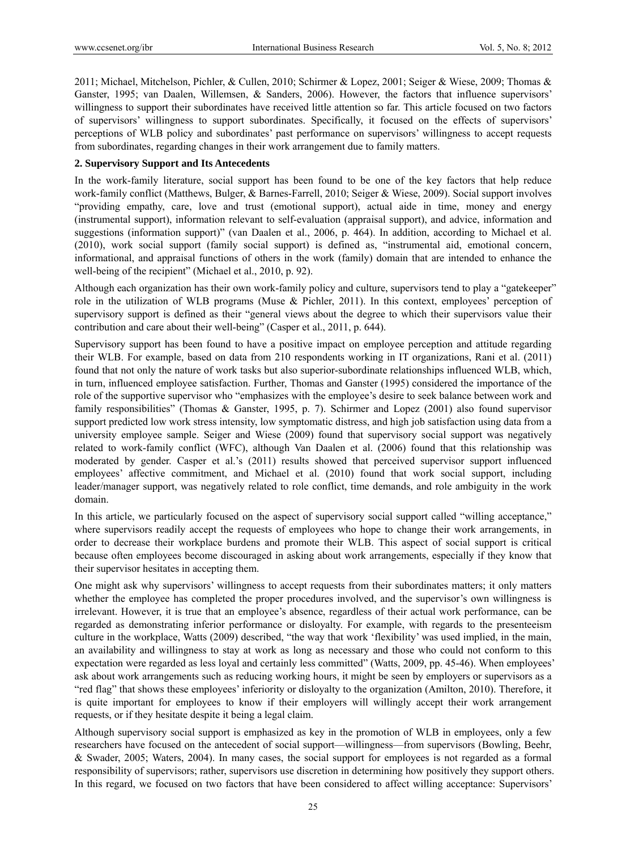2011; Michael, Mitchelson, Pichler, & Cullen, 2010; Schirmer & Lopez, 2001; Seiger & Wiese, 2009; Thomas & Ganster, 1995; van Daalen, Willemsen, & Sanders, 2006). However, the factors that influence supervisors' willingness to support their subordinates have received little attention so far. This article focused on two factors of supervisors' willingness to support subordinates. Specifically, it focused on the effects of supervisors' perceptions of WLB policy and subordinates' past performance on supervisors' willingness to accept requests from subordinates, regarding changes in their work arrangement due to family matters.

## **2. Supervisory Support and Its Antecedents**

In the work-family literature, social support has been found to be one of the key factors that help reduce work-family conflict (Matthews, Bulger, & Barnes-Farrell, 2010; Seiger & Wiese, 2009). Social support involves "providing empathy, care, love and trust (emotional support), actual aide in time, money and energy (instrumental support), information relevant to self-evaluation (appraisal support), and advice, information and suggestions (information support)" (van Daalen et al., 2006, p. 464). In addition, according to Michael et al. (2010), work social support (family social support) is defined as, "instrumental aid, emotional concern, informational, and appraisal functions of others in the work (family) domain that are intended to enhance the well-being of the recipient" (Michael et al., 2010, p. 92).

Although each organization has their own work-family policy and culture, supervisors tend to play a "gatekeeper" role in the utilization of WLB programs (Muse & Pichler, 2011). In this context, employees' perception of supervisory support is defined as their "general views about the degree to which their supervisors value their contribution and care about their well-being" (Casper et al., 2011, p. 644).

Supervisory support has been found to have a positive impact on employee perception and attitude regarding their WLB. For example, based on data from 210 respondents working in IT organizations, Rani et al. (2011) found that not only the nature of work tasks but also superior-subordinate relationships influenced WLB, which, in turn, influenced employee satisfaction. Further, Thomas and Ganster (1995) considered the importance of the role of the supportive supervisor who "emphasizes with the employee's desire to seek balance between work and family responsibilities" (Thomas & Ganster, 1995, p. 7). Schirmer and Lopez (2001) also found supervisor support predicted low work stress intensity, low symptomatic distress, and high job satisfaction using data from a university employee sample. Seiger and Wiese (2009) found that supervisory social support was negatively related to work-family conflict (WFC), although Van Daalen et al. (2006) found that this relationship was moderated by gender. Casper et al.'s (2011) results showed that perceived supervisor support influenced employees' affective commitment, and Michael et al. (2010) found that work social support, including leader/manager support, was negatively related to role conflict, time demands, and role ambiguity in the work domain.

In this article, we particularly focused on the aspect of supervisory social support called "willing acceptance," where supervisors readily accept the requests of employees who hope to change their work arrangements, in order to decrease their workplace burdens and promote their WLB. This aspect of social support is critical because often employees become discouraged in asking about work arrangements, especially if they know that their supervisor hesitates in accepting them.

One might ask why supervisors' willingness to accept requests from their subordinates matters; it only matters whether the employee has completed the proper procedures involved, and the supervisor's own willingness is irrelevant. However, it is true that an employee's absence, regardless of their actual work performance, can be regarded as demonstrating inferior performance or disloyalty. For example, with regards to the presenteeism culture in the workplace, Watts (2009) described, "the way that work 'flexibility' was used implied, in the main, an availability and willingness to stay at work as long as necessary and those who could not conform to this expectation were regarded as less loyal and certainly less committed" (Watts, 2009, pp. 45-46). When employees' ask about work arrangements such as reducing working hours, it might be seen by employers or supervisors as a "red flag" that shows these employees' inferiority or disloyalty to the organization (Amilton, 2010). Therefore, it is quite important for employees to know if their employers will willingly accept their work arrangement requests, or if they hesitate despite it being a legal claim.

Although supervisory social support is emphasized as key in the promotion of WLB in employees, only a few researchers have focused on the antecedent of social support—willingness—from supervisors (Bowling, Beehr, & Swader, 2005; Waters, 2004). In many cases, the social support for employees is not regarded as a formal responsibility of supervisors; rather, supervisors use discretion in determining how positively they support others. In this regard, we focused on two factors that have been considered to affect willing acceptance: Supervisors'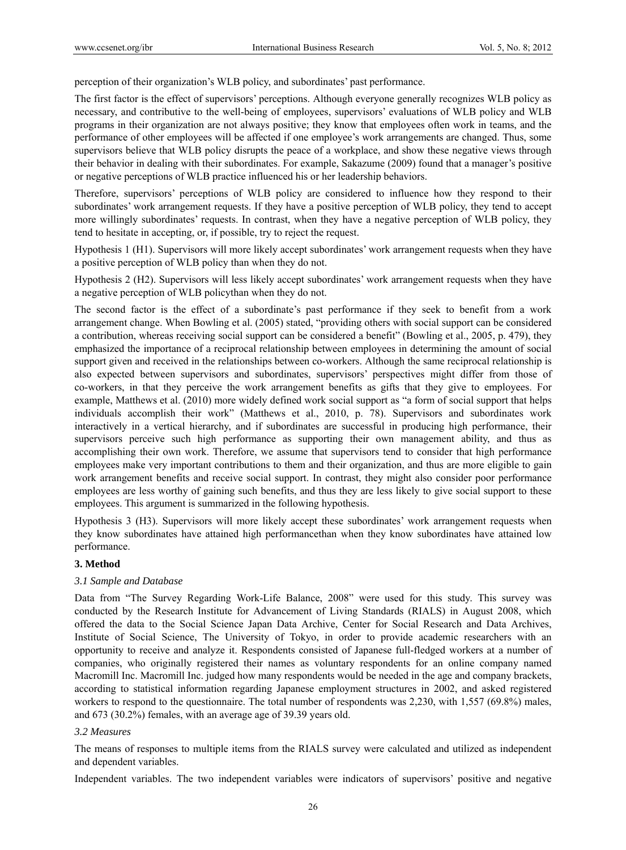perception of their organization's WLB policy, and subordinates' past performance.

The first factor is the effect of supervisors' perceptions. Although everyone generally recognizes WLB policy as necessary, and contributive to the well-being of employees, supervisors' evaluations of WLB policy and WLB programs in their organization are not always positive; they know that employees often work in teams, and the performance of other employees will be affected if one employee's work arrangements are changed. Thus, some supervisors believe that WLB policy disrupts the peace of a workplace, and show these negative views through their behavior in dealing with their subordinates. For example, Sakazume (2009) found that a manager's positive or negative perceptions of WLB practice influenced his or her leadership behaviors.

Therefore, supervisors' perceptions of WLB policy are considered to influence how they respond to their subordinates' work arrangement requests. If they have a positive perception of WLB policy, they tend to accept more willingly subordinates' requests. In contrast, when they have a negative perception of WLB policy, they tend to hesitate in accepting, or, if possible, try to reject the request.

Hypothesis 1 (H1). Supervisors will more likely accept subordinates' work arrangement requests when they have a positive perception of WLB policy than when they do not.

Hypothesis 2 (H2). Supervisors will less likely accept subordinates' work arrangement requests when they have a negative perception of WLB policythan when they do not.

The second factor is the effect of a subordinate's past performance if they seek to benefit from a work arrangement change. When Bowling et al. (2005) stated, "providing others with social support can be considered a contribution, whereas receiving social support can be considered a benefit" (Bowling et al., 2005, p. 479), they emphasized the importance of a reciprocal relationship between employees in determining the amount of social support given and received in the relationships between co-workers. Although the same reciprocal relationship is also expected between supervisors and subordinates, supervisors' perspectives might differ from those of co-workers, in that they perceive the work arrangement benefits as gifts that they give to employees. For example, Matthews et al. (2010) more widely defined work social support as "a form of social support that helps individuals accomplish their work" (Matthews et al., 2010, p. 78). Supervisors and subordinates work interactively in a vertical hierarchy, and if subordinates are successful in producing high performance, their supervisors perceive such high performance as supporting their own management ability, and thus as accomplishing their own work. Therefore, we assume that supervisors tend to consider that high performance employees make very important contributions to them and their organization, and thus are more eligible to gain work arrangement benefits and receive social support. In contrast, they might also consider poor performance employees are less worthy of gaining such benefits, and thus they are less likely to give social support to these employees. This argument is summarized in the following hypothesis.

Hypothesis 3 (H3). Supervisors will more likely accept these subordinates' work arrangement requests when they know subordinates have attained high performancethan when they know subordinates have attained low performance.

### **3. Method**

### *3.1 Sample and Database*

Data from "The Survey Regarding Work-Life Balance, 2008" were used for this study. This survey was conducted by the Research Institute for Advancement of Living Standards (RIALS) in August 2008, which offered the data to the Social Science Japan Data Archive, Center for Social Research and Data Archives, Institute of Social Science, The University of Tokyo, in order to provide academic researchers with an opportunity to receive and analyze it. Respondents consisted of Japanese full-fledged workers at a number of companies, who originally registered their names as voluntary respondents for an online company named Macromill Inc. Macromill Inc. judged how many respondents would be needed in the age and company brackets, according to statistical information regarding Japanese employment structures in 2002, and asked registered workers to respond to the questionnaire. The total number of respondents was 2,230, with 1,557 (69.8%) males, and 673 (30.2%) females, with an average age of 39.39 years old.

### *3.2 Measures*

The means of responses to multiple items from the RIALS survey were calculated and utilized as independent and dependent variables.

Independent variables. The two independent variables were indicators of supervisors' positive and negative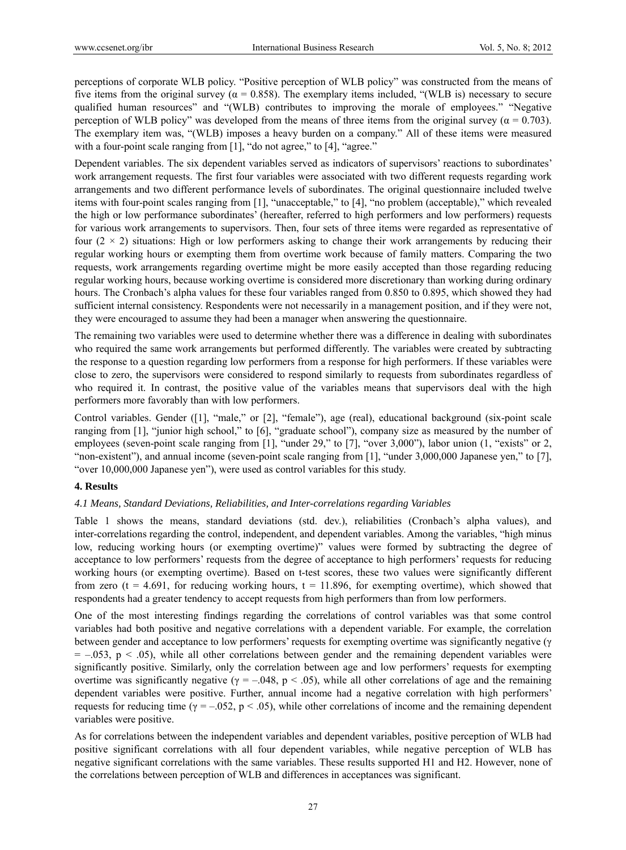perceptions of corporate WLB policy. "Positive perception of WLB policy" was constructed from the means of five items from the original survey ( $α = 0.858$ ). The exemplary items included, "(WLB is) necessary to secure qualified human resources" and "(WLB) contributes to improving the morale of employees." "Negative perception of WLB policy" was developed from the means of three items from the original survey ( $\alpha = 0.703$ ). The exemplary item was, "(WLB) imposes a heavy burden on a company." All of these items were measured with a four-point scale ranging from [1], "do not agree," to [4], "agree."

Dependent variables. The six dependent variables served as indicators of supervisors' reactions to subordinates' work arrangement requests. The first four variables were associated with two different requests regarding work arrangements and two different performance levels of subordinates. The original questionnaire included twelve items with four-point scales ranging from [1], "unacceptable," to [4], "no problem (acceptable)," which revealed the high or low performance subordinates' (hereafter, referred to high performers and low performers) requests for various work arrangements to supervisors. Then, four sets of three items were regarded as representative of four  $(2 \times 2)$  situations: High or low performers asking to change their work arrangements by reducing their regular working hours or exempting them from overtime work because of family matters. Comparing the two requests, work arrangements regarding overtime might be more easily accepted than those regarding reducing regular working hours, because working overtime is considered more discretionary than working during ordinary hours. The Cronbach's alpha values for these four variables ranged from 0.850 to 0.895, which showed they had sufficient internal consistency. Respondents were not necessarily in a management position, and if they were not, they were encouraged to assume they had been a manager when answering the questionnaire.

The remaining two variables were used to determine whether there was a difference in dealing with subordinates who required the same work arrangements but performed differently. The variables were created by subtracting the response to a question regarding low performers from a response for high performers. If these variables were close to zero, the supervisors were considered to respond similarly to requests from subordinates regardless of who required it. In contrast, the positive value of the variables means that supervisors deal with the high performers more favorably than with low performers.

Control variables. Gender ([1], "male," or [2], "female"), age (real), educational background (six-point scale ranging from [1], "junior high school," to [6], "graduate school"), company size as measured by the number of employees (seven-point scale ranging from [1], "under 29," to [7], "over 3,000"), labor union (1, "exists" or 2, "non-existent"), and annual income (seven-point scale ranging from [1], "under 3,000,000 Japanese yen," to [7], "over 10,000,000 Japanese yen"), were used as control variables for this study.

### **4. Results**

### *4.1 Means, Standard Deviations, Reliabilities, and Inter-correlations regarding Variables*

Table 1 shows the means, standard deviations (std. dev.), reliabilities (Cronbach's alpha values), and inter-correlations regarding the control, independent, and dependent variables. Among the variables, "high minus low, reducing working hours (or exempting overtime)" values were formed by subtracting the degree of acceptance to low performers' requests from the degree of acceptance to high performers' requests for reducing working hours (or exempting overtime). Based on t-test scores, these two values were significantly different from zero ( $t = 4.691$ , for reducing working hours,  $t = 11.896$ , for exempting overtime), which showed that respondents had a greater tendency to accept requests from high performers than from low performers.

One of the most interesting findings regarding the correlations of control variables was that some control variables had both positive and negative correlations with a dependent variable. For example, the correlation between gender and acceptance to low performers' requests for exempting overtime was significantly negative (γ  $= -0.053$ ,  $p < 0.05$ ), while all other correlations between gender and the remaining dependent variables were significantly positive. Similarly, only the correlation between age and low performers' requests for exempting overtime was significantly negative ( $\gamma = -.048$ , p < .05), while all other correlations of age and the remaining dependent variables were positive. Further, annual income had a negative correlation with high performers' requests for reducing time ( $\gamma = -0.052$ , p < .05), while other correlations of income and the remaining dependent variables were positive.

As for correlations between the independent variables and dependent variables, positive perception of WLB had positive significant correlations with all four dependent variables, while negative perception of WLB has negative significant correlations with the same variables. These results supported H1 and H2. However, none of the correlations between perception of WLB and differences in acceptances was significant.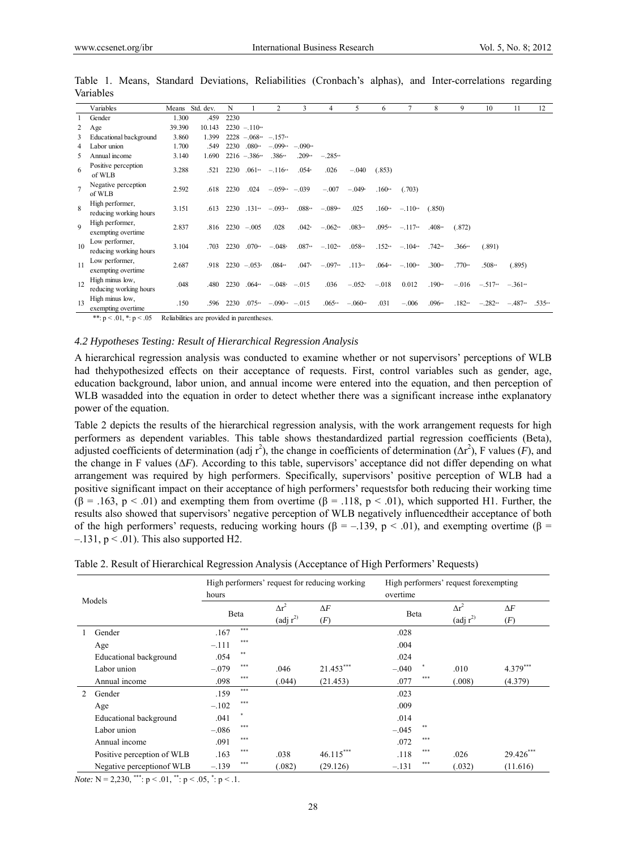|                | Variables                                              |                           | Means Std. dev. | N                |                 | 2                            | 3        | 4         | 5         | 6        |           | 8        | 9        | 10        | 11                                          | 12       |
|----------------|--------------------------------------------------------|---------------------------|-----------------|------------------|-----------------|------------------------------|----------|-----------|-----------|----------|-----------|----------|----------|-----------|---------------------------------------------|----------|
|                | Gender                                                 | 1.300                     | .459            | 2230             |                 |                              |          |           |           |          |           |          |          |           |                                             |          |
|                | Age                                                    | 39.390                    | 10.143          |                  | $2230 - 110**$  |                              |          |           |           |          |           |          |          |           |                                             |          |
| 3              | Educational background                                 | 3.860                     | 1.399           |                  |                 | $2228 - 068^{**} - 157^{**}$ |          |           |           |          |           |          |          |           |                                             |          |
| 4              | Labor union                                            | 1.700                     | .549            | 2230             | $.080**$        | $-.099**$                    | $-090**$ |           |           |          |           |          |          |           |                                             |          |
| 5              | Annual income                                          | 3.140                     | 1.690           |                  | $2216 - 386**$  | $.386**$                     | $.209**$ | $-.285**$ |           |          |           |          |          |           |                                             |          |
| 6              | Positive perception<br>of WLB                          | 3.288                     | .521            | 2230             | .061            | $-.116**$                    | $.054*$  | .026      | $-.040$   | (.853)   |           |          |          |           |                                             |          |
| $\overline{7}$ | Negative perception<br>of WLB                          | 2.592                     | .618            | 2230             | .024            | $-.059**$                    | $-.039$  | $-.007$   | $-.049*$  | $.160**$ | (.703)    |          |          |           |                                             |          |
| $\mathbf{8}$   | High performer,<br>reducing working hours              | 3.151                     | .613            | 2230             | 131             | $-.093**$                    | $.088**$ | $-.089**$ | .025      | $.160**$ | $-.110**$ | (.850)   |          |           |                                             |          |
| $\Omega$       | High performer,<br>exempting overtime                  | 2.837                     | .816            |                  | $2230 - 0.005$  | .028                         | $.042*$  | $-.062**$ | .083      | .095     | $-.117**$ | $.408**$ | (.872)   |           |                                             |          |
| 10             | Low performer,<br>reducing working hours               | 3.104                     | .703            | 2230             | $.070**$        | $-.048*$                     | $.087**$ | $-.102**$ | $.058**$  | $.152**$ | $-.104**$ | .742     | $.366**$ | (.891)    |                                             |          |
| 11             | Low performer,<br>exempting overtime                   | 2.687                     | .918            |                  | $2230 - 0.053*$ | .084                         | $.047*$  | $-.097**$ | .113      | $.064**$ | $-.100**$ | $.300**$ | $.770**$ | $.508**$  | (.895)                                      |          |
| 12             | High minus low,<br>reducing working hours              | .048                      | .480            | 2230             | $.064**$        | $-.048$ $-.015$              |          | .036      | $-.052*$  | $-.018$  | 0.012     | $.190**$ | $-.016$  |           | $-.517$ <sup>**</sup> $-.361$ <sup>**</sup> |          |
| 13             | High minus low,<br>exempting overtime<br>$\cdots$<br>. | .150<br><b>CONTRACTOR</b> | .596            | 2230<br>$\cdots$ | $.075**$        | $-.090**$                    | $-.015$  | $.065**$  | $-.060**$ | .031     | $-.006$   | $.096**$ | $.182**$ | $-.282**$ | $-.487**$                                   | $.535**$ |

Table 1. Means, Standard Deviations, Reliabilities (Cronbach's alphas), and Inter-correlations regarding Variables

\*\*:  $p \leq 0$ 1, \*:  $p \leq 0$ 5. Reliabilities are provided in parentheses.

#### *4.2 Hypotheses Testing: Result of Hierarchical Regression Analysis*

A hierarchical regression analysis was conducted to examine whether or not supervisors' perceptions of WLB had thehypothesized effects on their acceptance of requests. First, control variables such as gender, age, education background, labor union, and annual income were entered into the equation, and then perception of WLB wasadded into the equation in order to detect whether there was a significant increase inthe explanatory power of the equation.

Table 2 depicts the results of the hierarchical regression analysis, with the work arrangement requests for high performers as dependent variables. This table shows thestandardized partial regression coefficients (Beta), adjusted coefficients of determination (adj  $r^2$ ), the change in coefficients of determination ( $\Delta r^2$ ), F values (F), and the change in F values (Δ*F*). According to this table, supervisors' acceptance did not differ depending on what arrangement was required by high performers. Specifically, supervisors' positive perception of WLB had a positive significant impact on their acceptance of high performers' requestsfor both reducing their working time  $(\beta = .163, p < .01)$  and exempting them from overtime  $(\beta = .118, p < .01)$ , which supported H1. Further, the results also showed that supervisors' negative perception of WLB negatively influencedtheir acceptance of both of the high performers' requests, reducing working hours ( $\beta = -.139$ ,  $p < .01$ ), and exempting overtime ( $\beta =$  $-131$ ,  $p < .01$ ). This also supported H2.

| Table 2. Result of Hierarchical Regression Analysis (Acceptance of High Performers' Requests) |  |  |
|-----------------------------------------------------------------------------------------------|--|--|
|                                                                                               |  |  |

| Models |                            | hours   |        |                                                | High performers' request for reducing working | High performers' request for exempting<br>overtime |                                                |                   |  |  |
|--------|----------------------------|---------|--------|------------------------------------------------|-----------------------------------------------|----------------------------------------------------|------------------------------------------------|-------------------|--|--|
|        |                            | Beta    |        | $\Delta r^2$<br>$\left(\text{adj } r^2\right)$ | $\Delta F$<br>(F)                             | Beta                                               | $\Delta r^2$<br>$\left(\text{adj } r^2\right)$ | $\Delta F$<br>(F) |  |  |
|        | Gender                     | .167    | $***$  |                                                |                                               | .028                                               |                                                |                   |  |  |
|        | Age                        | $-.111$ | ***    |                                                |                                               | .004                                               |                                                |                   |  |  |
|        | Educational background     | .054    | **     |                                                |                                               | .024                                               |                                                |                   |  |  |
|        | Labor union                | $-.079$ | ***    | .046                                           | $21.453***$                                   | $\ast$<br>$-.040$                                  | .010                                           | $4.379***$        |  |  |
|        | Annual income              | .098    | ***    | (.044)                                         | (21.453)                                      | $***$<br>.077                                      | (.008)                                         | (4.379)           |  |  |
| 2      | Gender                     | .159    | $***$  |                                                |                                               | .023                                               |                                                |                   |  |  |
|        | Age                        | $-.102$ | ***    |                                                |                                               | .009                                               |                                                |                   |  |  |
|        | Educational background     | .041    | $\ast$ |                                                |                                               | .014                                               |                                                |                   |  |  |
|        | Labor union                | $-.086$ | ***    |                                                |                                               | **<br>$-.045$                                      |                                                |                   |  |  |
|        | Annual income              | .091    | ***    |                                                |                                               | ***<br>.072                                        |                                                |                   |  |  |
|        | Positive perception of WLB | .163    | ***    | .038                                           | $46.115***$                                   | $***$<br>.118                                      | .026                                           | 29.426***         |  |  |
|        | Negative perception of WLB | $-.139$ | ***    | (.082)                                         | (29.126)                                      | $***$<br>$-.131$                                   | (.032)                                         | (11.616)          |  |  |

*Note:*  $N = 2,230,$  \*\*\*:  $p < .01,$  \*\*:  $p < .05,$  \*:  $p < .1$ .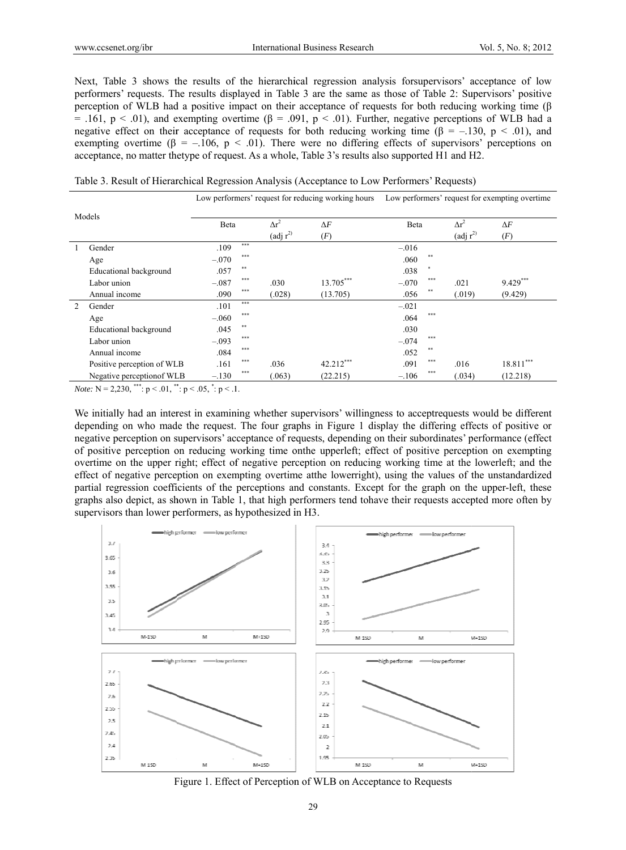Next, Table 3 shows the results of the hierarchical regression analysis for supervisors' acceptance of low performers' requests. The results displayed in Table 3 are the same as those of Table 2: Supervisors' positive perception of WLB had a positive impact on their acceptance of requests for both reducing working time (β = .161, p < .01), and exempting overtime ( $\beta$  = .091, p < .01). Further, negative perceptions of WLB had a negative effect on their acceptance of requests for both reducing working time ( $\beta = -.130$ ,  $p < .01$ ), and exempting overtime ( $\beta = -.106$ ,  $p < .01$ ). There were no differing effects of supervisors' perceptions on acceptance, no matter the type of request. As a whole, Table 3's results also supported H1 and H2.

Table 3. Result of Hierarchical Regression Analysis (Acceptance to Low Performers' Requests)

| Models                                                                 |                                                                                                                 |         |       |                                |            | Low performers' request for reducing working hours Low performers' request for exempting overtime |        |                                |             |  |
|------------------------------------------------------------------------|-----------------------------------------------------------------------------------------------------------------|---------|-------|--------------------------------|------------|---------------------------------------------------------------------------------------------------|--------|--------------------------------|-------------|--|
|                                                                        |                                                                                                                 | Beta    |       | $\Delta r^2$                   | $\Delta F$ | Beta                                                                                              |        | $\Delta r^2$                   | $\Delta F$  |  |
|                                                                        |                                                                                                                 |         |       | $\left(\text{adj } r^2\right)$ | (F)        |                                                                                                   |        | $\left(\text{adj } r^2\right)$ | (F)         |  |
|                                                                        | Gender                                                                                                          | .109    | $***$ |                                |            | $-.016$                                                                                           |        |                                |             |  |
|                                                                        | Age                                                                                                             | $-.070$ | ***   |                                |            | .060                                                                                              | $**$   |                                |             |  |
|                                                                        | Educational background                                                                                          | .057    | **    |                                |            | .038                                                                                              | $\ast$ |                                |             |  |
|                                                                        | Labor union                                                                                                     | $-.087$ | ***   | .030                           | 13.705***  | $-.070$                                                                                           | ***    | .021                           | $9.429***$  |  |
|                                                                        | Annual income                                                                                                   | .090    | ***   | (.028)                         | (13.705)   | .056                                                                                              | **     | (.019)                         | (9.429)     |  |
| $\mathfrak{D}$                                                         | Gender                                                                                                          | .101    | $***$ |                                |            | $-.021$                                                                                           |        |                                |             |  |
|                                                                        | Age                                                                                                             | $-.060$ | ***   |                                |            | .064                                                                                              | ***    |                                |             |  |
|                                                                        | Educational background                                                                                          | .045    | **    |                                |            | .030                                                                                              |        |                                |             |  |
|                                                                        | Labor union                                                                                                     | $-.093$ | ***   |                                |            | $-.074$                                                                                           | ***    |                                |             |  |
|                                                                        | Annual income                                                                                                   | .084    | ***   |                                |            | .052                                                                                              | **     |                                |             |  |
|                                                                        | Positive perception of WLB                                                                                      | .161    | ***   | .036                           | 42.212***  | .091                                                                                              | ***    | .016                           | $18.811***$ |  |
|                                                                        | Negative perception of WLB                                                                                      | $-.130$ | ***   | (.063)                         | (22.215)   | $-.106$                                                                                           | ***    | (.034)                         | (12.218)    |  |
| <i>Note:</i> N = 2,230, ***: $p < .01$ , **: $p < .05$ , *: $p < .1$ . |                                                                                                                 |         |       |                                |            |                                                                                                   |        |                                |             |  |
|                                                                        | We initially had an interest in examining whether supervisors' willingness to acceptrequests would be different |         |       |                                |            |                                                                                                   |        |                                |             |  |

depending on who made the request. The four graphs in Figure 1 display the differing effects of positive or negative perception on supervisors' acceptance of requests, depending on their subordinates' performance (effect of positive perception on reducing working time on the upperleft; effect of positive perception on exempting overtime on the upper right; effect of negative perception on reducing working time at the lowerleft; and the effect of negative perception on exempting overtime atthe lowerright), using the values of the unstandardized partial regression coefficients of the perceptions and constants. Except for the graph on the upper-left, these graphs also depict, as shown in Table 1, that high performers tend tohave their requests accepted more often by supervisors than lower performers, as hypothesized in H3.



Figure 1. Effect of Perception of WLB on Acceptance to Requests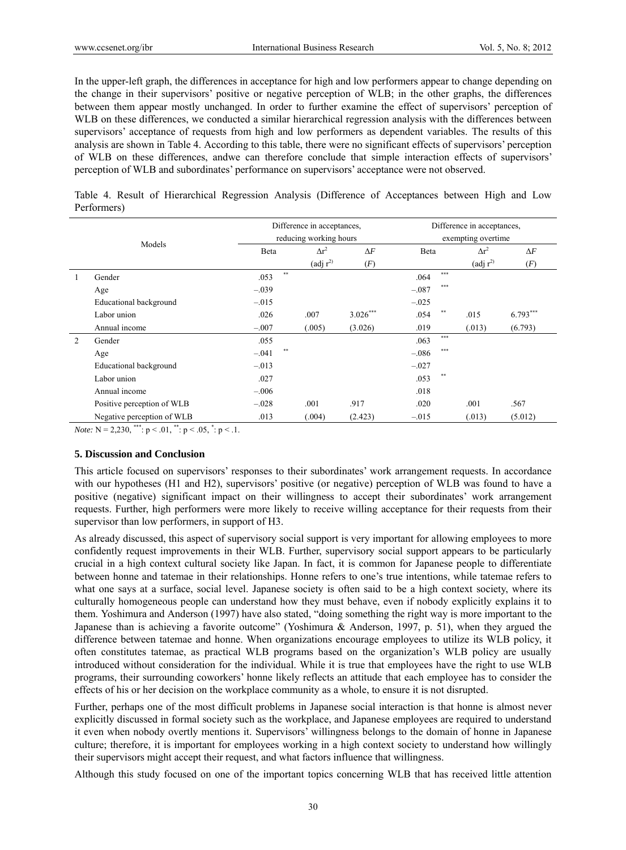In the upper-left graph, the differences in acceptance for high and low performers appear to change depending on the change in their supervisors' positive or negative perception of WLB; in the other graphs, the differences between them appear mostly unchanged. In order to further examine the effect of supervisors' perception of WLB on these differences, we conducted a similar hierarchical regression analysis with the differences between supervisors' acceptance of requests from high and low performers as dependent variables. The results of this analysis are shown in Table 4. According to this table, there were no significant effects of supervisors' perception of WLB on these differences, andwe can therefore conclude that simple interaction effects of supervisors' perception of WLB and subordinates' performance on supervisors' acceptance were not observed.

Table 4. Result of Hierarchical Regression Analysis (Difference of Acceptances between High and Low Performers)

|   |                            |                  | Difference in acceptances,     |            | Difference in acceptances, |                                |            |  |  |  |
|---|----------------------------|------------------|--------------------------------|------------|----------------------------|--------------------------------|------------|--|--|--|
|   |                            |                  | reducing working hours         |            |                            | exempting overtime             |            |  |  |  |
|   | Models                     | Beta             | $\Delta r^2$                   | $\Delta F$ | Beta                       | $\Delta r^2$                   | $\Delta F$ |  |  |  |
|   |                            |                  | $\left(\text{adj } r^2\right)$ | (F)        |                            | $\left(\text{adj } r^2\right)$ | (F)        |  |  |  |
|   | Gender                     | $**$<br>.053     |                                |            | ***<br>.064                |                                |            |  |  |  |
|   | Age                        | $-.039$          |                                |            | ***<br>$-.087$             |                                |            |  |  |  |
|   | Educational background     | $-.015$          |                                |            | $-.025$                    |                                |            |  |  |  |
|   | Labor union                | .026             | .007                           | $3.026***$ | $* *$<br>.054              | .015                           | $6.793***$ |  |  |  |
|   | Annual income              | $-.007$          | .005)                          | (3.026)    | .019                       | (.013)                         | (6.793)    |  |  |  |
| 2 | Gender                     | .055             |                                |            | $***$<br>.063              |                                |            |  |  |  |
|   | Age                        | $***$<br>$-.041$ |                                |            | ***<br>$-.086$             |                                |            |  |  |  |
|   | Educational background     | $-.013$          |                                |            | $-.027$                    |                                |            |  |  |  |
|   | Labor union                | .027             |                                |            | $***$<br>.053              |                                |            |  |  |  |
|   | Annual income              | $-.006$          |                                |            | .018                       |                                |            |  |  |  |
|   | Positive perception of WLB | $-.028$          | .001                           | .917       | .020                       | .001                           | .567       |  |  |  |
|   | Negative perception of WLB | .013             | (.004)                         | (2.423)    | $-.015$                    | (.013)                         | (5.012)    |  |  |  |

*Note:*  $N = 2,230$ , \*\*\*:  $p < .01$ , \*\*:  $p < .05$ , \*:  $p < .1$ .

#### **5. Discussion and Conclusion**

This article focused on supervisors' responses to their subordinates' work arrangement requests. In accordance with our hypotheses (H1 and H2), supervisors' positive (or negative) perception of WLB was found to have a positive (negative) significant impact on their willingness to accept their subordinates' work arrangement requests. Further, high performers were more likely to receive willing acceptance for their requests from their supervisor than low performers, in support of H3.

As already discussed, this aspect of supervisory social support is very important for allowing employees to more confidently request improvements in their WLB. Further, supervisory social support appears to be particularly crucial in a high context cultural society like Japan. In fact, it is common for Japanese people to differentiate between honne and tatemae in their relationships. Honne refers to one's true intentions, while tatemae refers to what one says at a surface, social level. Japanese society is often said to be a high context society, where its culturally homogeneous people can understand how they must behave, even if nobody explicitly explains it to them. Yoshimura and Anderson (1997) have also stated, "doing something the right way is more important to the Japanese than is achieving a favorite outcome" (Yoshimura & Anderson, 1997, p. 51), when they argued the difference between tatemae and honne. When organizations encourage employees to utilize its WLB policy, it often constitutes tatemae, as practical WLB programs based on the organization's WLB policy are usually introduced without consideration for the individual. While it is true that employees have the right to use WLB programs, their surrounding coworkers' honne likely reflects an attitude that each employee has to consider the effects of his or her decision on the workplace community as a whole, to ensure it is not disrupted.

Further, perhaps one of the most difficult problems in Japanese social interaction is that honne is almost never explicitly discussed in formal society such as the workplace, and Japanese employees are required to understand it even when nobody overtly mentions it. Supervisors' willingness belongs to the domain of honne in Japanese culture; therefore, it is important for employees working in a high context society to understand how willingly their supervisors might accept their request, and what factors influence that willingness.

Although this study focused on one of the important topics concerning WLB that has received little attention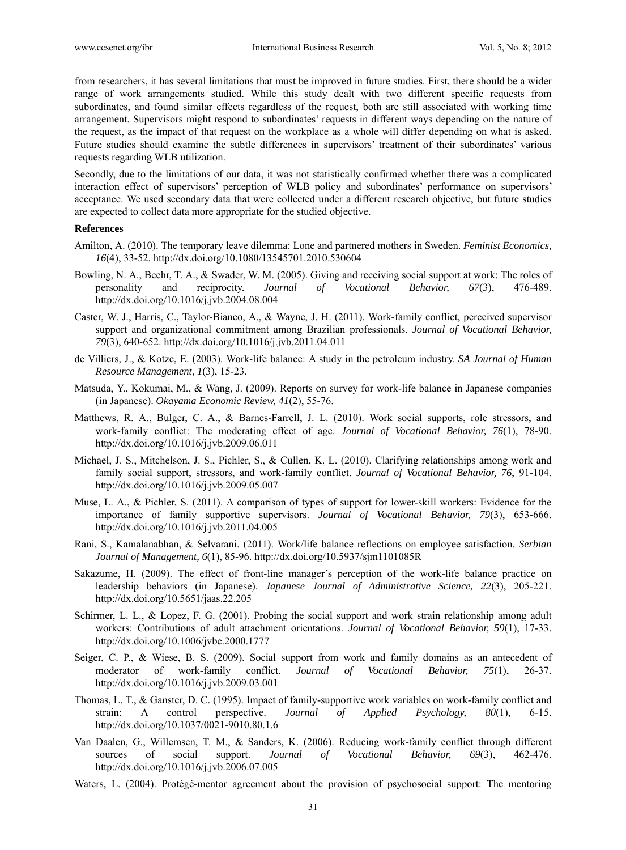from researchers, it has several limitations that must be improved in future studies. First, there should be a wider range of work arrangements studied. While this study dealt with two different specific requests from subordinates, and found similar effects regardless of the request, both are still associated with working time arrangement. Supervisors might respond to subordinates' requests in different ways depending on the nature of the request, as the impact of that request on the workplace as a whole will differ depending on what is asked. Future studies should examine the subtle differences in supervisors' treatment of their subordinates' various requests regarding WLB utilization.

Secondly, due to the limitations of our data, it was not statistically confirmed whether there was a complicated interaction effect of supervisors' perception of WLB policy and subordinates' performance on supervisors' acceptance. We used secondary data that were collected under a different research objective, but future studies are expected to collect data more appropriate for the studied objective.

#### **References**

- Amilton, A. (2010). The temporary leave dilemma: Lone and partnered mothers in Sweden. *Feminist Economics, 16*(4), 33-52. http://dx.doi.org/10.1080/13545701.2010.530604
- Bowling, N. A., Beehr, T. A., & Swader, W. M. (2005). Giving and receiving social support at work: The roles of personality and reciprocity. *Journal of Vocational Behavior, 67*(3), 476-489. http://dx.doi.org/10.1016/j.jvb.2004.08.004
- Caster, W. J., Harris, C., Taylor-Bianco, A., & Wayne, J. H. (2011). Work-family conflict, perceived supervisor support and organizational commitment among Brazilian professionals. *Journal of Vocational Behavior, 79*(3), 640-652. http://dx.doi.org/10.1016/j.jvb.2011.04.011
- de Villiers, J., & Kotze, E. (2003). Work-life balance: A study in the petroleum industry. *SA Journal of Human Resource Management, 1*(3), 15-23.
- Matsuda, Y., Kokumai, M., & Wang, J. (2009). Reports on survey for work-life balance in Japanese companies (in Japanese). *Okayama Economic Review, 41*(2), 55-76.
- Matthews, R. A., Bulger, C. A., & Barnes-Farrell, J. L. (2010). Work social supports, role stressors, and work-family conflict: The moderating effect of age. *Journal of Vocational Behavior, 76*(1), 78-90. http://dx.doi.org/10.1016/j.jvb.2009.06.011
- Michael, J. S., Mitchelson, J. S., Pichler, S., & Cullen, K. L. (2010). Clarifying relationships among work and family social support, stressors, and work-family conflict. *Journal of Vocational Behavior, 76*, 91-104. http://dx.doi.org/10.1016/j.jvb.2009.05.007
- Muse, L. A., & Pichler, S. (2011). A comparison of types of support for lower-skill workers: Evidence for the importance of family supportive supervisors. *Journal of Vocational Behavior, 79*(3), 653-666. http://dx.doi.org/10.1016/j.jvb.2011.04.005
- Rani, S., Kamalanabhan, & Selvarani. (2011). Work/life balance reflections on employee satisfaction. *Serbian Journal of Management, 6*(1), 85-96. http://dx.doi.org/10.5937/sjm1101085R
- Sakazume, H. (2009). The effect of front-line manager's perception of the work-life balance practice on leadership behaviors (in Japanese). *Japanese Journal of Administrative Science, 22*(3), 205-221. http://dx.doi.org/10.5651/jaas.22.205
- Schirmer, L. L., & Lopez, F. G. (2001). Probing the social support and work strain relationship among adult workers: Contributions of adult attachment orientations. *Journal of Vocational Behavior, 59*(1), 17-33. http://dx.doi.org/10.1006/jvbe.2000.1777
- Seiger, C. P., & Wiese, B. S. (2009). Social support from work and family domains as an antecedent of moderator of work-family conflict. *Journal of Vocational Behavior, 75*(1), 26-37. http://dx.doi.org/10.1016/j.jvb.2009.03.001
- Thomas, L. T., & Ganster, D. C. (1995). Impact of family-supportive work variables on work-family conflict and strain: A control perspective. *Journal of Applied Psychology, 80*(1), 6-15. http://dx.doi.org/10.1037/0021-9010.80.1.6
- Van Daalen, G., Willemsen, T. M., & Sanders, K. (2006). Reducing work-family conflict through different sources of social support. *Journal of Vocational Behavior, 69*(3), 462-476. http://dx.doi.org/10.1016/j.jvb.2006.07.005
- Waters, L. (2004). Protégé-mentor agreement about the provision of psychosocial support: The mentoring